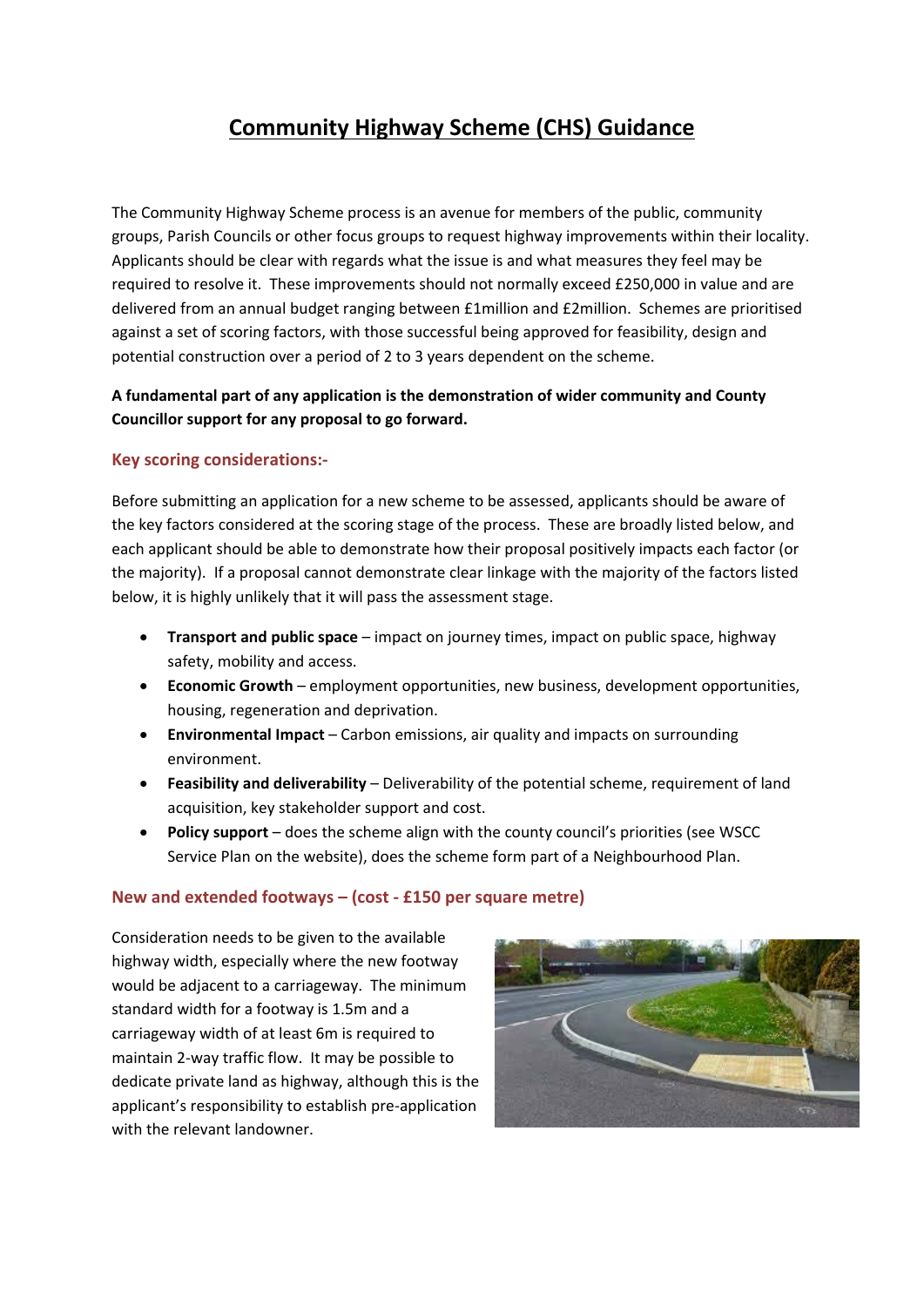# **Community Highway Scheme (CHS) Guidance**

The Community Highway Scheme process is an avenue for members of the public, community groups, Parish Councils or other focus groups to request highway improvements within their locality. Applicants should be clear with regards what the issue is and what measures they feel may be required to resolve it. These improvements should not normally exceed £250,000 in value and are delivered from an annual budget ranging between £1million and £2million. Schemes are prioritised against a set of scoring factors, with those successful being approved for feasibility, design and potential construction over a period of 2 to 3 years dependent on the scheme.

## **A fundamental part of any application is the demonstration of wider community and County Councillor support for any proposal to go forward.**

### **Key scoring considerations:-**

Before submitting an application for a new scheme to be assessed, applicants should be aware of the key factors considered at the scoring stage of the process. These are broadly listed below, and each applicant should be able to demonstrate how their proposal positively impacts each factor (or the majority). If a proposal cannot demonstrate clear linkage with the majority of the factors listed below, it is highly unlikely that it will pass the assessment stage.

- **Transport and public space** impact on journey times, impact on public space, highway safety, mobility and access.
- **Economic Growth** employment opportunities, new business, development opportunities, housing, regeneration and deprivation.
- **Environmental Impact** Carbon emissions, air quality and impacts on surrounding environment.
- **Feasibility and deliverability** Deliverability of the potential scheme, requirement of land acquisition, key stakeholder support and cost.
- **Policy support** does the scheme align with the county council's priorities (see WSCC Service Plan on the website), does the scheme form part of a Neighbourhood Plan.

### **New and extended footways – (cost - £150 per square metre)**

Consideration needs to be given to the available highway width, especially where the new footway would be adjacent to a carriageway. The minimum standard width for a footway is 1.5m and a carriageway width of at least 6m is required to maintain 2-way traffic flow. It may be possible to dedicate private land as highway, although this is the applicant's responsibility to establish pre-application with the relevant landowner.

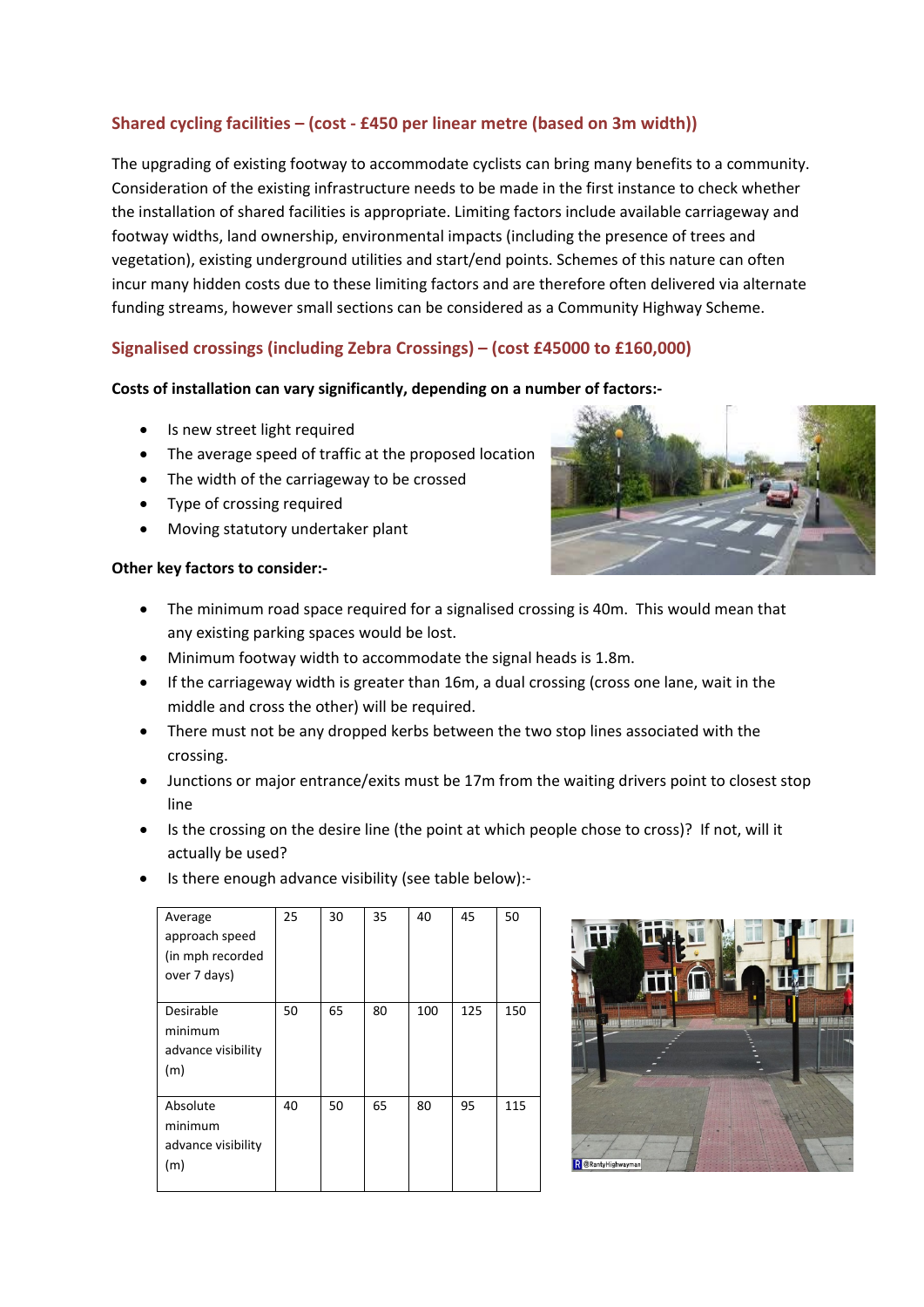# **Shared cycling facilities – (cost - £450 per linear metre (based on 3m width))**

The upgrading of existing footway to accommodate cyclists can bring many benefits to a community. Consideration of the existing infrastructure needs to be made in the first instance to check whether the installation of shared facilities is appropriate. Limiting factors include available carriageway and footway widths, land ownership, environmental impacts (including the presence of trees and vegetation), existing underground utilities and start/end points. Schemes of this nature can often incur many hidden costs due to these limiting factors and are therefore often delivered via alternate funding streams, however small sections can be considered as a Community Highway Scheme.

## **Signalised crossings (including Zebra Crossings) – (cost £45000 to £160,000)**

#### **Costs of installation can vary significantly, depending on a number of factors:-**

- Is new street light required
- The average speed of traffic at the proposed location
- The width of the carriageway to be crossed
- Type of crossing required
- Moving statutory undertaker plant

#### **Other key factors to consider:-**

- The minimum road space required for a signalised crossing is 40m. This would mean that any existing parking spaces would be lost.
- Minimum footway width to accommodate the signal heads is 1.8m.
- If the carriageway width is greater than 16m, a dual crossing (cross one lane, wait in the middle and cross the other) will be required.
- There must not be any dropped kerbs between the two stop lines associated with the crossing.
- Junctions or major entrance/exits must be 17m from the waiting drivers point to closest stop line
- Is the crossing on the desire line (the point at which people chose to cross)? If not, will it actually be used?
- Is there enough advance visibility (see table below):-

| Average<br>approach speed<br>(in mph recorded<br>over 7 days) | 25 | 30 | 35 | 40  | 45  | 50  |
|---------------------------------------------------------------|----|----|----|-----|-----|-----|
| Desirable<br>minimum<br>advance visibility<br>(m)             | 50 | 65 | 80 | 100 | 125 | 150 |
| Absolute<br>minimum<br>advance visibility<br>(m)              | 40 | 50 | 65 | 80  | 95  | 115 |



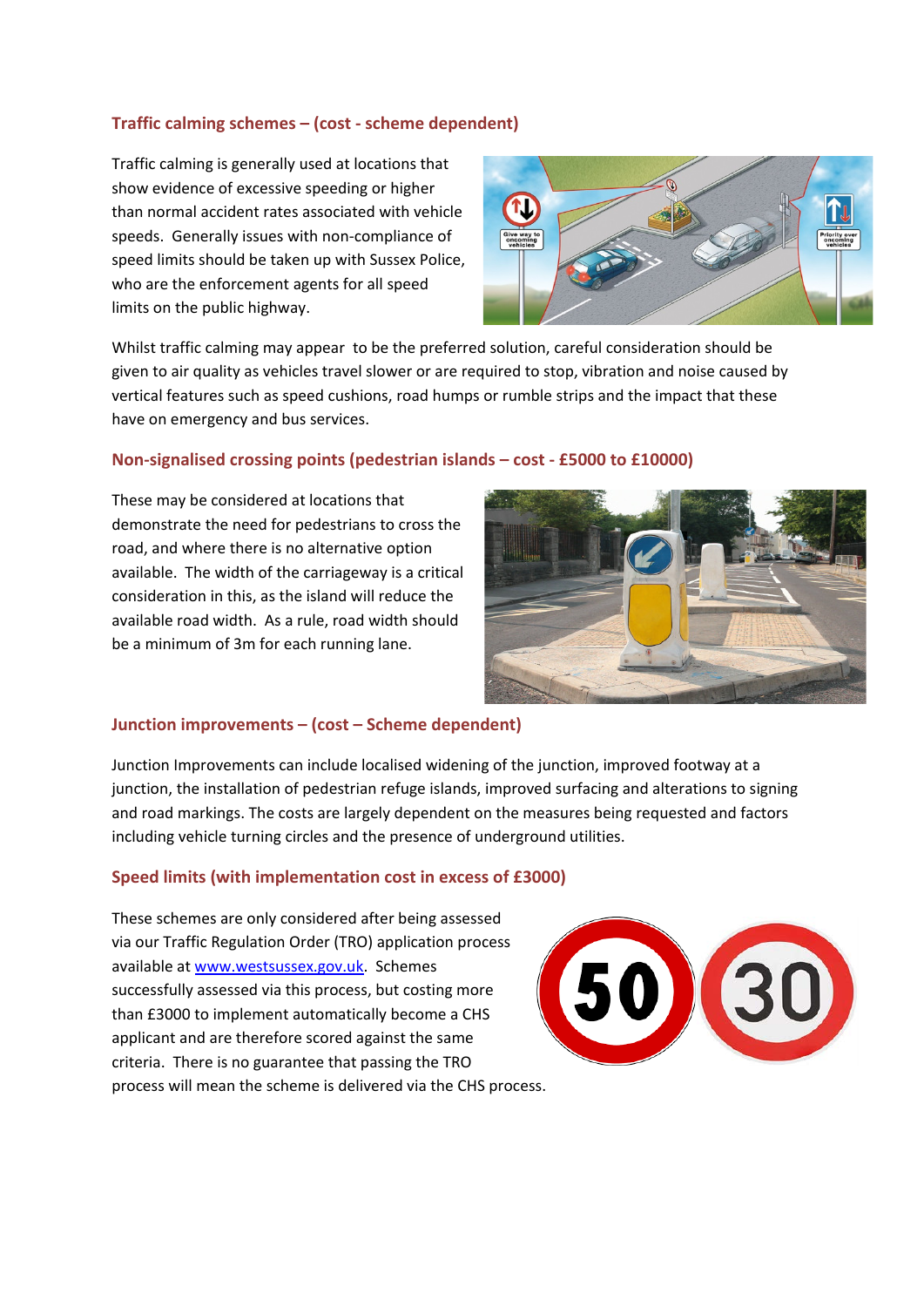### **Traffic calming schemes – (cost - scheme dependent)**

Traffic calming is generally used at locations that show evidence of excessive speeding or higher than normal accident rates associated with vehicle speeds. Generally issues with non-compliance of speed limits should be taken up with Sussex Police, who are the enforcement agents for all speed limits on the public highway.



Whilst traffic calming may appear to be the preferred solution, careful consideration should be given to air quality as vehicles travel slower or are required to stop, vibration and noise caused by vertical features such as speed cushions, road humps or rumble strips and the impact that these have on emergency and bus services.

#### **Non-signalised crossing points (pedestrian islands – cost - £5000 to £10000)**

These may be considered at locations that demonstrate the need for pedestrians to cross the road, and where there is no alternative option available. The width of the carriageway is a critical consideration in this, as the island will reduce the available road width. As a rule, road width should be a minimum of 3m for each running lane.



#### **Junction improvements – (cost – Scheme dependent)**

Junction Improvements can include localised widening of the junction, improved footway at a junction, the installation of pedestrian refuge islands, improved surfacing and alterations to signing and road markings. The costs are largely dependent on the measures being requested and factors including vehicle turning circles and the presence of underground utilities.

#### **Speed limits (with implementation cost in excess of £3000)**

These schemes are only considered after being assessed via our Traffic Regulation Order (TRO) application process available a[t www.westsussex.gov.uk.](http://www.westsussex.gov.uk/) Schemes successfully assessed via this process, but costing more than £3000 to implement automatically become a CHS applicant and are therefore scored against the same criteria. There is no guarantee that passing the TRO process will mean the scheme is delivered via the CHS process.